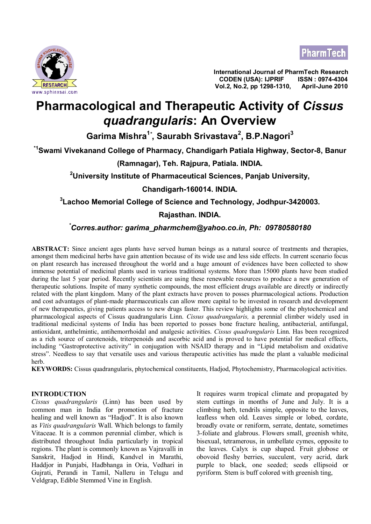



**International Journal of PharmTech Research CODEN (USA): IJPRIF Vol.2, No.2, pp 1298-1310, April-June 2010**

# **Pharmacological and Therapeutic Activity of** *Cissus quadrangularis***: An Overview**

**Garima Mishra<sup>1</sup>***\** **, Saurabh Srivastava<sup>2</sup> , B.P.Nagori<sup>3</sup>**

**\*1Swami Vivekanand College of Pharmacy, Chandigarh Patiala Highway, Sector-8, Banur**

**(Ramnagar), Teh. Rajpura, Patiala. INDIA.**

**<sup>2</sup>University Institute of Pharmaceutical Sciences, Panjab University,**

**Chandigarh-160014. INDIA.**

**3 Lachoo Memorial College of Science and Technology, Jodhpur-3420003.**

### **Rajasthan. INDIA.**

## *\*Corres.author: [garima\\_pharmchem@yahoo.co.in](mailto:garima_pharmchem@yahoo.co.in), Ph: 09780580180*

**ABSTRACT:** Since ancient ages plants have served human beings as a natural source of treatments and therapies, amongst them medicinal herbs have gain attention because of its wide use and less side effects. In current scenario focus on plant research has increased throughout the world and a huge amount of evidences have been collected to show immense potential of medicinal plants used in various traditional systems. More than 15000 plants have been studied during the last 5 year period. Recently scientists are using these renewable resources to produce a new generation of therapeutic solutions. Inspite of many synthetic compounds, the most efficient drugs available are directly or indirectly related with the plant kingdom. Many of the plant extracts have proven to posses pharmacological actions. Production and cost advantages of plant-made pharmaceuticals can allow more capital to be invested in research and development of new therapeutics, giving patients access to new drugs faster. This review highlights some of the phytochemical and pharmacological aspects of Cissus quadrangularis Linn. *Cissus quadrangularis,* a perennial climber widely used in traditional medicinal systems of India has been reported to posses bone fracture healing, antibacterial, antifungal, antioxidant, anthelmintic, antihemorrhoidal and analgesic activities. *Cissus quadrangularis* Linn. Has been recognized as a rich source of carotenoids, triterpenoids and ascorbic acid and is proved to have potential for medical effects, including "Gastroprotective activity" in conjugation with NSAID therapy and in "Lipid metabolism and oxidative stress". Needless to say that versatile uses and various therapeutic activities has made the plant a valuable medicinal herb.

**KEYWORDS:** Cissus quadrangularis, phytochemical constituents, Hadjod, Phytochemistry, Pharmacological activities.

#### **INTRODUCTION**

*Cissus quadrangularis* (Linn) has been used by common man in India for promotion of fracture healing and well known as "Hadjod". It is also known as *Vitis quadrangularis* Wall. Which belongs to family Vitaceae. It is a common perennial climber, which is distributed throughout India particularly in tropical regions. The plant is commonly known as Vajravalli in Sanskrit, Hadjod in Hindi, Kandvel in Marathi, Haddjor in Punjabi, Hadbhanga in Oria, Vedhari in Gujrati, Perandi in Tamil, Nalleru in Telugu and Veldgrap, Edible Stemmed Vine in English.

It requires warm tropical climate and propagated by stem cuttings in months of June and July. It is a climbing herb, tendrils simple, opposite to the leaves, leafless when old. Leaves simple or lobed, cordate, broadly ovate or reniform, serrate, dentate, sometimes 3-foliate and glabrous. Flowers small, greenish white, bisexual, tetramerous, in umbellate cymes, opposite to the leaves. Calyx is cup shaped. Fruit globose or obovoid fleshy berries, succulent, very acrid, dark purple to black, one seeded; seeds ellipsoid or pyriform. Stem is buff colored with greenish ting,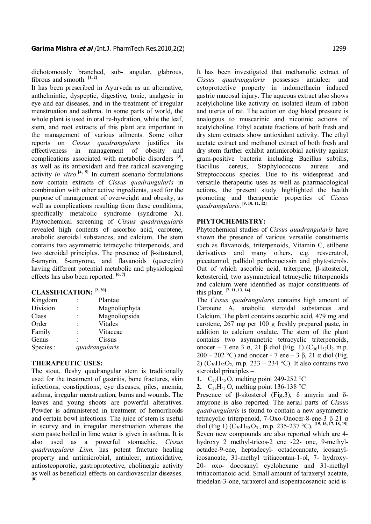dichotomously branched, sub- angular, glabrous, fibrous and smooth. **[1, 2]**

It has been prescribed in Ayurveda as an alternative, anthelmintic, dyspeptic, digestive, tonic, analgesic in eye and ear diseases, and in the treatment of irregular menstruation and asthma. In some parts of world, the whole plant is used in oral re-hydration, while the leaf, stem, and root extracts of this plant are important in the management of various ailments. Some other reports on *Cissus quadrangularis* justifies its effectiveness in management of obesity and complications associated with metabolic disorders **[3]** , as well as its antioxidant and free radical scavenging activity *in vitro*. **[4, 5]** In current scenario formulations now contain extracts of *Cissus quadrangularis* in combination with other active ingredients, used for the purpose of management of overweight and obesity, as well as complications resulting from these conditions, specifically metabolic syndrome (syndrome X). Phytochemical screening of *Cissus quadrangularis* revealed high contents of ascorbic acid, carotene, anabolic steroidal substances, and calcium. The stem contains two asymmetric tetracyclic triterpenoids, and two steroidal principles. The presence of β-sitosterol, δ-amyrin, δ-amyrone, and flavanoids (quercetin) having different potential metabolic and physiological effects has also been reported. **[6, 7]**

#### **CLASSIFICATION: [2, 20]**

| Kingdom  |                | Plantae       |
|----------|----------------|---------------|
| Division |                | Magnoliophyta |
| Class    |                | Magnoliopsida |
| Order    |                | Vitales       |
| Family   |                | Vitaceae      |
| Genus    |                | Cissus        |
| Species: | quadrangularis |               |
|          |                |               |

#### **THERAPEUTIC USES:**

The stout, fleshy quadrangular stem is traditionally used for the treatment of gastritis, bone fractures, skin infections, constipations, eye diseases, piles, anemia, asthma, irregular menstruation, burns and wounds. The leaves and young shoots are powerful alteratives. Powder is administered in treatment of hemorrhoids and certain bowl infections. The juice of stem is useful in scurvy and in irregular menstruation whereas the stem paste boiled in lime water is given in asthma. It is also used as a powerful stomachic. *Cissus quadrangularis Linn.* has potent fracture healing property and antimicrobial, antiulcer, antioxidative, antiosteoporotic, gastroprotective, cholinergic activity as well as beneficial effects on cardiovascular diseases. **[8]**

It has been investigated that methanolic extract of *Cissus quadrangularis* possesses antiulcer and cytoprotective property in indomethacin induced gastric mucosal injury. The aqueous extract also shows acetylcholine like activity on isolated ileum of rabbit and uterus of rat. The action on dog blood pressure is analogous to muscarinic and nicotinic actions of acetylcholine. Ethyl acetate fractions of both fresh and dry stem extracts show antioxidant activity. The ethyl acetate extract and methanol extract of both fresh and dry stem further exhibit antimicrobial activity against gram-positive bacteria including Bacillus subtilis, Bacillus cereus, Staphylococcus aureus and Streptococcus species. Due to its widespread and versatile therapeutic uses as well as pharmacological actions, the present study highlighted the health promoting and therapeutic properties of *Cissus quadrangularis*.  **[9, 10, 11, 12]**

#### **PHYTOCHEMISTRY:**

Phytochemical studies of *Cissus quadrangularis* have shown the presence of various versatile constituents such as flavanoids, triterpenoids, Vitamin C, stilbene derivatives and many others, e.g. resveratrol, piceatannol, pallidol perthenocissin and phytosterols. Out of which ascorbic acid, triterpene, β-sitosterol, ketosteroid, two asymmetrical tetracyclic triterpenoids and calcium were identified as major constituents of this plant. **[7, 11, 13, 14]**

The *Cissus quadrangularis* contains high amount of Carotene A, anabolic steroidal substances and Calcium. The plant contains ascorbic acid, 479 mg and carotene, 267 mg per 100 g freshly prepared paste, in addition to calcium oxalate. The stem of the plant contains two asymmetric tetracyclic triterpenoids, onocer – 7 ene 3 α, 21 β diol (Fig. 1)  $(C_{30}H_{52}O_2$  m.p.  $200 - 202$  °C) and onocer - 7 ene – 3 β, 21  $\alpha$  diol (Fig. 2) ( $C_{30}H_{52}O_2$ , m.p. 233 – 234 °C). It also contains two steroidal principles –

- **1.** C<sub>27</sub>H<sub>45</sub>O, melting point 249-252  $^{\circ}$ C
- **2.**  $C_{23}H_{41}O$ , melting point 136-138 °C

Presence of β-sitosterol (Fig.3), δ amyrin and δamyrone is also reported. The aerial parts of *Cissus quadrangularis* is found to contain a new asymmetric tetracyclic triterpenoid, 7-Oxo-Onocer-8-ene-3 β 21 α diol (Fig 1) (C30H<sup>50</sup> O<sup>3</sup> , m.p. 235-237 °C). **[15, 16, 17, 18, 19]** Seven new compounds are also reported which are 4 hydroxy 2 methyl-tricos-2 ene -22- one, 9-methyloctadec-9-ene, heptadecyl- octadecanoate, icosanylicosanoate, 31-methyl tritiacontan-1-ol, 7- hydroxy-20- oxo- docosanyl cyclohexane and 31-methyl tritiacontanoic acid. Small amount of taraxeryl acetate, friedelan-3-one, taraxerol and isopentacosanoic acid is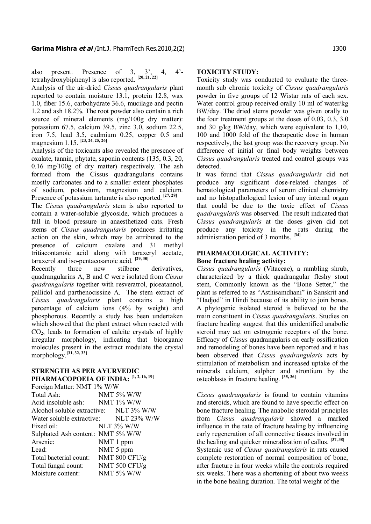also present. Presence of 3, 3', 4, 4' tetrahydroxybiphenyl is also reported. **[20, 21, 22]**

Analysis of the air-dried *Cissus quadrangularis* plant reported to contain moisture 13.1, protein 12.8, wax 1.0, fiber 15.6, carbohydrate 36.6, mucilage and pectin 1.2 and ash 18.2%. The root powder also contain a rich source of mineral elements (mg/100g dry matter): potassium 67.5, calcium 39.5, zinc 3.0, sodium 22.5, iron 7.5, lead 3.5, cadmium 0.25, copper 0.5 and magnesium 1.15. **[23, 24, 25, 26]**

Analysis of the toxicants also revealed the presence of oxalate, tannin, phytate, saponin contents (135, 0.3, 20, 0.16 mg/100g of dry matter) respectively. The ash formed from the Cissus quadrangularis contains mostly carbonates and to a smaller extent phosphates of sodium, potassium, magnesium and calcium. Presence of potassium tartarate is also reported. **[27, 28]**

The *Cissus quadrangularis* stem is also reported to contain a water-soluble glycoside, which produces a fall in blood pressure in anaesthetized cats. Fresh stems of *Cissus quadrangularis* produces irritating action on the skin, which may be attributed to the presence of calcium oxalate and 31 methyl tritiacontanoic acid along with taraxeryl acetate, taraxerol and iso-pentacosanoic acid. **[29, 30]**

Recently three new stilbene derivatives, quadrangularins A, B and C were isolated from *Cissus quadrangularis* together with resveratrol, piceatannol, pallidol and parthenocissine A. The stem extract of *Cissus quadrangularis* plant contains a high percentage of calcium ions (4% by weight) and phosphorous. Recently a study has been undertaken which showed that the plant extract when reacted with  $CO<sub>2</sub>$ , leads to formation of calcite crystals of highly irregular morphology, indicating that bioorganic molecules present in the extract modulate the crystal morphology.**[31, 32, 33]**

#### **STRENGTH AS PER AYURVEDIC PHARMACOPOEIA OF INDIA: [1, 2, 16, 19]**

| Foreign Matter: NMT 1% W/W             |                   |
|----------------------------------------|-------------------|
| Total Ash:                             | NMT 5% W/W        |
| Acid insoluble ash: NMT 1% W/W         |                   |
| Alcohol soluble extractive: NLT 3% W/W |                   |
| Water soluble extractive: NLT 23% W/W  |                   |
| Fixed oil:                             | <b>NLT 3% W/W</b> |
| Sulphated Ash content: NMT 5% W/W      |                   |
| Arsenic:                               | NMT 1 ppm         |
| Lead:                                  | NMT 5 ppm         |
| Total bacterial count:                 | NMT 800 CFU/g     |
| Total fungal count:                    | NMT 500 CFU/g     |
| Moisture content:                      | <b>NMT 5% W/W</b> |

#### **TOXICITY STUDY:**

Toxicity study was conducted to evaluate the threemonth sub chronic toxicity of *Cissus quadrangularis* powder in five groups of 12 Wistar rats of each sex. Water control group received orally 10 ml of water/kg BW/day. The dried stems powder was given orally to the four treatment groups at the doses of 0.03, 0.3, 3.0 and 30 g/kg BW/day, which were equivalent to 1,10, 100 and 1000 fold of the therapeutic dose in human respectively, the last group was the recovery group. No difference of initial or final body weights between *Cissus quadrangularis* treated and control groups was detected.

It was found that *Cissus quadrangularis* did not produce any significant dose-related changes of hematological parameters of serum clinical chemistry and no histopathological lesion of any internal organ that could be due to the toxic effect of *Cissus quadrangularis* was observed. The result indicated that *Cissus quadrangularis* at the doses given did not produce any toxicity in the rats during the administration period of 3 months. **[34]**

#### **PHARMACOLOGICAL ACTIVITY: Bone fracture healing activity:**

*Cissus quadrangularis* (Vitaceae), a rambling shrub, characterized by a thick quadrangular fleshy stout stem, Commonly known as the "Bone Setter," the plant is referred to as "Asthisamdhani" in Sanskrit and "Hadjod" in Hindi because of its ability to join bones. A phytogenic isolated steroid is believed to be the main constituent in *Cissus quadrangularis*. Studies on fracture healing suggest that this unidentified anabolic steroid may act on estrogenic receptors of the bone. Efficacy of *Cissus* quadrangularis on early ossification and remodeling of bones have been reported and it has been observed that *Cissus quadrangularis* acts by stimulation of metabolism and increased uptake of the minerals calcium, sulpher and strontium by the osteoblasts in fracture healing. **[35, 36]**

*Cissus quadrangularis* is found to contain vitamins and steroids, which are found to have specific effect on bone fracture healing. The anabolic steroidal principles from *Cissus quadrangularis* showed a marked influence in the rate of fracture healing by influencing early regeneration of all connective tissues involved in the healing and quicker mineralization of callus. **[37, 38]** Systemic use of *Cissus quadrangularis* in rats caused complete restoration of normal composition of bone, after fracture in four weeks while the controls required six weeks. There was a shortening of about two weeks in the bone healing duration. The total weight of the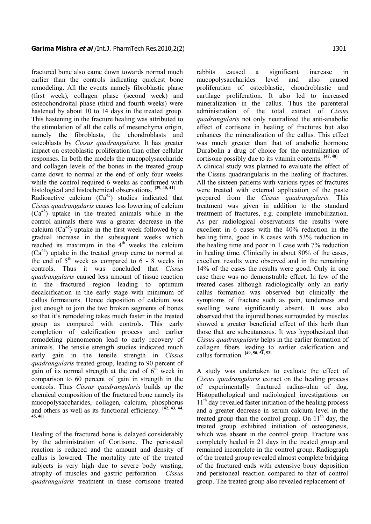fractured bone also came down towards normal much earlier than the controls indicating quickest bone remodeling. All the events namely fibroblastic phase (first week), collagen phase (second week) and osteochondroital phase (third and fourth weeks) were hastened by about 10 to 14 days in the treated group. This hastening in the fracture healing was attributed to the stimulation of all the cells of mesenchyma origin, namely the fibroblasts, the chondroblasts and osteoblasts by *Cissus quadrangularis*. It has greater impact on osteoblastic proliferation than other cellular responses. In both the models the mucopolysaccharide and collagen levels of the bones in the treated group came down to normal at the end of only four weeks while the control required 6 weeks as confirmed with histological and histochemical observations. **[39, 40, 41]** Radioactive calcium  $(Ca^{45})$  studies indicated that *Cissus quadrangularis* causes less lowering of calcium

 $(Ca<sup>45</sup>)$  uptake in the treated animals while in the control animals there was a greater decrease in the calcium  $(Ca^{45})$  uptake in the first week followed by a gradual increase in the subsequent weeks which reached its maximum in the  $4<sup>th</sup>$  weeks the calcium  $(Ca<sup>45</sup>)$  uptake in the treated group came to normal at the end of  $5<sup>th</sup>$  week as compared to 6 - 8 weeks in controls. Thus it was concluded that *Cissus quadrangularis* caused less amount of tissue reaction in the fractured region leading to optimum decalcification in the early stage with minimum of callus formations. Hence deposition of calcium was just enough to join the two broken segments of bones so that it's remodeling takes much faster in the treated group as compared with controls. This early completion of calcification process and earlier remodeling phenomenon lead to early recovery of animals. The tensile strength studies indicated much early gain in the tensile strength in *Cissus quadrangularis* treated group, leading to 90 percent of gain of its normal strength at the end of  $6<sup>th</sup>$  week in comparison to 60 percent of gain in strength in the controls. Thus *Cissus quadrangularis* builds up the chemical composition of the fractured bone namely its mucopolysaccharides, collagen, calcium, phosphorus and others as well as its functional efficiency. **[42, 43, 44, 45, 46]**

Healing of the fractured bone is delayed considerably by the administration of Cortisone. The periosteal reaction is reduced and the amount and density of callus is lowered. The mortality rate of the treated subjects is very high due to severe body wasting, atrophy of muscles and gastric perforation. *Cissus quadrangularis* treatment in these cortisone treated

mucopolysaccharides level and also caused proliferation of osteoblastic, chondroblastic and cartilage proliferation. It also led to increased mineralization in the callus. Thus the parenteral administration of the total extract of *Cissus quadrangularis* not only neutralized the anti-anabolic effect of cortisone in healing of fractures but also enhances the mineralization of the callus. This effect was much greater than that of anabolic hormone Durabolin a drug of choice for the neutralization of cortisone possibly due to its vitamin contents. **[47, 48]** A clinical study was planned to evaluate the effect of the Cissus quadrangularis in the healing of fractures. All the sixteen patients with various types of fractures were treated with external application of the paste prepared from the *Cissus quadrangularis*. This treatment was given in addition to the standard treatment of fractures, e.g. complete immobilization. As per radiological observations the results were excellent in 6 cases with the 40% reduction in the healing time, good in 8 cases with 53% reduction in the healing time and poor in 1 case with 7% reduction in healing time. Clinically in about 80% of the cases, excellent results were observed and in the remaining 14% of the cases the results were good. Only in one case there was no demonstrable effect. In few of the treated cases although radiologically only an early callus formation was observed but clinically the symptoms of fracture such as pain, tenderness and swelling were significantly absent. It was also observed that the injured bones surrounded by muscles showed a greater beneficial effect of this herb than those that are subcutaneous. It was hypothesized that *Cissus quadrangularis* helps in the earlier formation of collagen fibers leading to earlier calcification and callus formation. **[49, 50, 51, 52]**

rabbits caused a significant increase in

A study was undertaken to evaluate the effect of *Cissus quadrangularis* extract on the healing process of experimentally fractured radius-ulna of dog. Histopathological and radiological investigations on  $11<sup>th</sup>$  day revealed faster initiation of the healing process and a greater decrease in serum calcium level in the treated group than the control group. On  $11<sup>th</sup>$  day, the treated group exhibited initiation of osteogenesis, which was absent in the control group. Fracture was completely healed in 21 days in the treated group and remained incomplete in the control group. Radiograph of the treated group revealed almost complete bridging of the fractured ends with extensive bony deposition and peristoneal reaction compared to that of control group. The treated group also revealed replacement of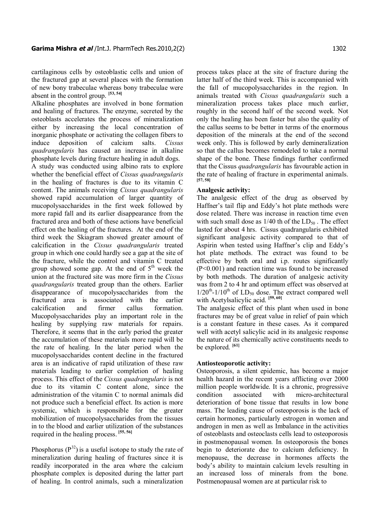cartilaginous cells by osteoblastic cells and union of the fractured gap at several places with the formation of new bony trabeculae whereas bony trabeculae were absent in the control group. **[53, 54]**

Alkaline phosphates are involved in bone formation and healing of fractures. The enzyme, secreted by the osteoblasts accelerates the process of mineralization either by increasing the local concentration of inorganic phosphate or activating the collagen fibers to induce deposition of calcium salts. *Cissus quadrangularis* has caused an increase in alkaline phosphate levels during fracture healing in adult dogs.

A study was conducted using albino rats to explore whether the beneficial effect of *Cissus quadrangularis* in the healing of fractures is due to its vitamin C content. The animals receiving *Cissus quadrangularis* showed rapid accumulation of larger quantity of mucopolysaccharides in the first week followed by more rapid fall and its earlier disappearance from the fractured area and both of these actions have beneficial effect on the healing of the fractures. At the end of the third week the Skiagram showed greater amount of calcification in the *Cissus quadrangularis* treated group in which one could hardly see a gap at the site of the fracture, while the control and vitamin C treated group showed some gap. At the end of  $5<sup>th</sup>$  week the union at the fractured site was more firm in the *Cissus quadrangularis* treated group than the others. Earlier disappearance of mucopolysaccharides from the fractured area is associated with the earlier calcification and firmer callus formation. Mucopolysaccharides play an important role in the healing by supplying raw materials for repairs. Therefore, it seems that in the early period the greater the accumulation of these materials more rapid will be the rate of healing. In the later period when the mucopolysaccharides content decline in the fractured area is an indicative of rapid utilization of these raw materials leading to earlier completion of healing process. This effect of the *Cissus quadrangularis* is not due to its vitamin C content alone, since the administration of the vitamin C to normal animals did not produce such a beneficial effect. Its action is more systemic, which is responsible for the greater mobilization of mucopolysaccharides from the tissues in to the blood and earlier utilization of the substances required in the healing process. **[55, 56]**

Phosphorus  $(P^{32})$  is a useful isotope to study the rate of mineralization during healing of fractures since it is readily incorporated in the area where the calcium phosphate complex is deposited during the latter part of healing. In control animals, such a mineralization

process takes place at the site of fracture during the latter half of the third week. This is accompanied with the fall of mucopolysaccharides in the region. In animals treated with *Cissus quadrangularis* such a mineralization process takes place much earlier, roughly in the second half of the second week. Not only the healing has been faster but also the quality of the callus seems to be better in terms of the enormous deposition of the minerals at the end of the second week only. This is followed by early demineralization so that the callus becomes remodeled to take a normal shape of the bone. These findings further confirmed that the Cissus *quadrangularis* has favourable action in the rate of healing of fracture in experimental animals. **[57, 58]**

#### **Analgesic activity:**

The analgesic effect of the drug as observed by Haffner's tail flip and Eddy's hot plate methods were dose related. There was increase in reaction time even with such small dose as  $1/40$  th of the  $LD_{50}$ . The effect lasted for about 4 hrs. Cissus quadrangularis exhibited significant analgesic activity compared to that of Aspirin when tested using Haffner's clip and Eddy's hot plate methods. The extract was found to be effective by both oral and i.p. routes significantly (P<0.001) and reaction time was found to be increased by both methods. The duration of analgesic activity was from 2 to 4 hr and optimum effect was observed at  $1/20^{th}$ -1/10<sup>th</sup> of LD<sub>50</sub> dose. The extract compared well with Acetylsalicylic acid. **[59, 60]**

The analgesic effect of this plant when used in bone fractures may be of great value in relief of pain which is a constant feature in these cases. As it compared well with acetyl salicylic acid in its analgesic response the nature of its chemically active constituents needs to be explored. **[61]**

#### **Antiosteoporotic activity:**

Osteoporosis, a silent epidemic, has become a major health hazard in the recent years afflicting over 2000 million people worldwide. It is a chronic, progressive condition associated with micro-architectural deterioration of bone tissue that results in low bone mass. The leading cause of osteoporosis is the lack of certain hormones, particularly estrogen in women and androgen in men as well as Imbalance in the activities of osteoblasts and osteoclasts cells lead to osteoporosis in postmenopausal women. In osteoporosis the bones begin to deteriorate due to calcium deficiency. In menopause, the decrease in hormones affects the body's ability to maintain calcium levels resulting in an increased loss of minerals from the bone. Postmenopausal women are at particular risk to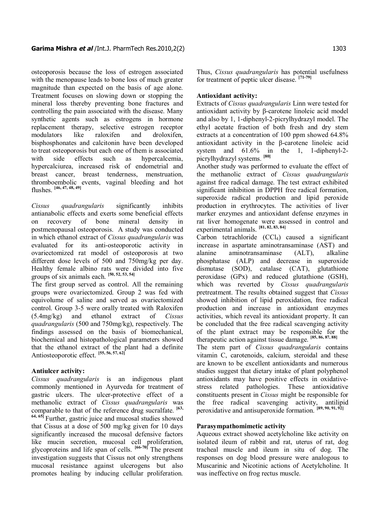osteoporosis because the loss of estrogen associated with the menopause leads to bone loss of much greater magnitude than expected on the basis of age alone. Treatment focuses on slowing down or stopping the mineral loss thereby preventing bone fractures and controlling the pain associated with the disease. Many synthetic agents such as estrogens in hormone replacement therapy, selective estrogen receptor modulators like raloxifen and droloxifen, bisphosphonates and calcitonin have been developed to treat osteoporosis but each one of them is associated with side effects such as hypercalcemia, hypercalciurea, increased risk of endometrial and breast cancer, breast tenderness, menstruation, thromboembolic events, vaginal bleeding and hot flushes. **[46, 47, 48, 49]**

*Cissus quadrangularis* significantly inhibits antianabolic effects and exerts some beneficial effects on recovery of bone mineral density in postmenopausal osteoporosis. A study was conducted in which ethanol extract of *Cissus quadrangularis* was evaluated for its anti-osteoporotic activity in ovariectomized rat model of osteoporosis at two different dose levels of 500 and 750mg/kg per day. Healthy female albino rats were divided into five groups of six animals each. **[50, 52, 53, 54]**

The first group served as control. All the remaining groups were ovariectomized. Group 2 was fed with equivolume of saline and served as ovariectomized control. Group 3-5 were orally treated with Raloxifen (5.4mg/kg) and ethanol extract of *Cissus quadrangularis* (500 and 750mg/kg), respectively. The findings assessed on the basis of biomechanical, biochemical and histopathological parameters showed that the ethanol extract of the plant had a definite Antiosteoporotic effect. **[55, 56, 57, 62]**

#### **Antiulcer activity:**

*Cissus quadrangularis* is an indigenous plant commonly mentioned in Ayurveda for treatment of gastric ulcers. The ulcer-protective effect of a methanolic extract of *Cissus quadrangularis* was comparable to that of the reference drug sucralfate. **[63, 64, 65]** Further, gastric juice and mucosal studies showed that Cissus at a dose of 500 mg/kg given for 10 days significantly increased the mucosal defensive factors like mucin secretion, mucosal cell proliferation, glycoproteins and life span of cells. **[66-70]** The present investigation suggests that Cissus not only strengthens mucosal resistance against ulcerogens but also promotes healing by inducing cellular proliferation.

Thus, *Cissus quadrangularis* has potential usefulness for treatment of peptic ulcer disease. **[71-79]**

#### **Antioxidant activity:**

Extracts of *Cissus quadrangularis* Linn were tested for antioxidant activity by β-carotene linoleic acid model and also by 1, 1-diphenyl-2-picrylhydrazyl model. The ethyl acetate fraction of both fresh and dry stem extracts at a concentration of 100 ppm showed 64.8% antioxidant activity in the β-carotene linoleic acid system and 61.6% in the 1, 1-diphenyl-2 picrylhydrazyl systems. **[80]**

Another study was performed to evaluate the effect of the methanolic extract of *Cissus quadrangularis* against free radical damage. The test extract exhibited significant inhibition in DPPH free radical formation, superoxide radical production and lipid peroxide production in erythrocytes. The activities of liver marker enzymes and antioxidant defense enzymes in rat liver homogenate were assessed in control and experimental animals. **[81, 82, 83, 84]**

Carbon tetrachloride  $(CCl<sub>4</sub>)$  caused a significant increase in aspartate aminotransaminase (AST) and alanine aminotransaminase (ALT), alkaline phosphatase (ALP) and decrease in superoxide dismutase (SOD), catalase (CAT), glutathione peroxidase (GPx) and reduced glutathione (GSH), which was reverted by *Cissus quadrangularis* pretreatment. The results obtained suggest that *Cissus* showed inhibition of lipid peroxidation, free radical production and increase in antioxidant enzymes activities, which reveal its antioxidant property. It can be concluded that the free radical scavenging activity of the plant extract may be responsible for the therapeutic action against tissue damage. **[85, 86, 87, 88]** The stem part of *Cissus quadrangularis* contains

vitamin C, carotenoids, calcium, steroidal and these are known to be excellent antioxidants and numerous studies suggest that dietary intake of plant polyphenol antioxidants may have positive effects in oxidativestress related pathologies. These antioxidative constituents present in *Cissus* might be responsible for the free radical scavenging activity, antilipid peroxidative and antisuperoxide formation. **[89, 90, 91, 92]**

#### **Parasympathomimetic activity**

Aqueous extract showed acetylcholine like activity on isolated ileum of rabbit and rat, uterus of rat, dog tracheal muscle and ileum in situ of dog. The responses on dog blood pressure were analogous to Muscarinic and Nicotinic actions of Acetylcholine. It was ineffective on frog rectus muscle.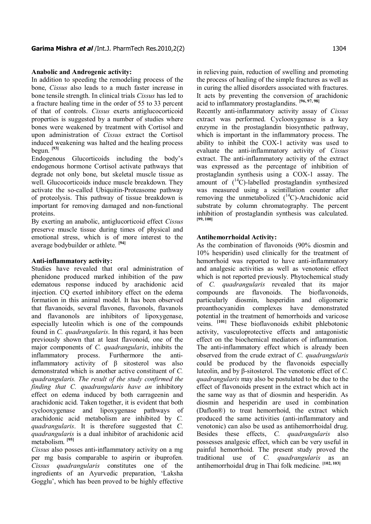#### **Anabolic and Androgenic activity:**

In addition to speeding the remodeling process of the bone, *Cissus* also leads to a much faster increase in bone tensile strength. In clinical trials *Cissus* has led to a fracture healing time in the order of 55 to 33 percent of that of controls. *Cissus* exerts antiglucocorticoid properties is suggested by a number of studies where bones were weakened by treatment with Cortisol and upon administration of *Cissus* extract the Cortisol induced weakening was halted and the healing process begun. **[93]**

Endogenous Glucorticoids including the body's endogenous hormone Cortisol activate pathways that degrade not only bone, but skeletal muscle tissue as well. Glucocorticoids induce muscle breakdown. They activate the so-called Ubiquitin-Proteasome pathway of proteolysis. This pathway of tissue breakdown is important for removing damaged and non-functional proteins.

By exerting an anabolic, antiglucorticoid effect *Cissus* preserve muscle tissue during times of physical and emotional stress, which is of more interest to the average bodybuilder or athlete. **[94]**

#### **Anti-inflammatory activity:**

Studies have revealed that oral administration of phenidone produced marked inhibition of the paw edematous response induced by arachidonic acid injection. CQ exerted inhibitory effect on the edema formation in this animal model. It has been observed that flavanoids, several flavones, flavonols, flavanols and flavanonols are inhibitors of lipoxygenase, especially luteolin which is one of the compounds found in *C. quadrangularis*. In this regard, it has been previously shown that at least flavonoid, one of the major components of *C. quadrangularis*, inhibits the inflammatory process. Furthermore the antiinflammatory activity of β sitosterol was also demonstrated which is another active constituent of *C. quadrangularis. The result of the study confirmed the finding that C. quadrangularis have an* inhibitory effect on edema induced by both carrageenin and arachidonic acid. Taken together, it is evident that both cyclooxygenase and lipoxygenase pathways of arachidonic acid metabolism are inhibited by *C. quadrangularis*. It is therefore suggested that *C. quadrangularis* is a dual inhibitor of arachidonic acid metabolism. **[95]**

*Cissus* also posses anti-inflammatory activity on a mg per mg basis comparable to aspirin or ibuprofen. *Cissus quadrangularis* constitutes one of the ingredients of an Ayurvedic preparation, 'Laksha Gogglu', which has been proved to be highly effective in relieving pain, reduction of swelling and promoting the process of healing of the simple fractures as well as in curing the allied disorders associated with fractures. It acts by preventing the conversion of arachidonic acid to inflammatory prostaglandins. **[96, 97, 98]**

Recently anti-inflammatory activity assay of *Cissus* extract was performed. Cyclooxygenase is a key enzyme in the prostaglandin biosynthetic pathway, which is important in the inflammatory process. The ability to inhibit the COX-1 activity was used to evaluate the anti-inflammatory activity of *Cissus* extract. The anti-inflammatory activity of the extract was expressed as the percentage of inhibition of prostaglandin synthesis using a COX-1 assay. The amount of  $(^{14}C)$ -labelled prostaglandin synthesized was measured using a scintillation counter after removing the unmetabolized  $(^{14}C)$ -Arachidonic acid substrate by column chromatography. The percent inhibition of prostaglandin synthesis was calculated. **[99, 100]**

#### **Antihemorrhoidal Activity:**

As the combination of flavonoids (90% diosmin and 10% hesperidin) used clinically for the treatment of hemorrhoid was reported to have anti-inflammatory and analgesic activities as well as venotonic effect which is not reported previously. Phytochemical study of *C. quadrangularis* revealed that its major compounds are flavonoids. The bioflavonoids, particularly diosmin, hesperidin and oligomeric proanthocyanidin complexes have demonstrated potential in the treatment of hemorrhoids and varicose veins. **[101]** These bioflavonoids exhibit phlebotonic activity, vasculoprotective effects and antagonistic effect on the biochemical mediators of inflammation. The anti-inflammatory effect which is already been observed from the crude extract of *C. quadrangularis* could be produced by the flavonoids especially luteolin, and by β-sitosterol. The venotonic effect of *C. quadrangularis* may also be postulated to be due to the effect of flavonoids present in the extract which act in the same way as that of diosmin and hesperidin. As diosmin and hesperidin are used in combination (Daflon®) to treat hemorrhoid, the extract which produced the same activities (anti-inflammatory and venotonic) can also be used as antihemorrhoidal drug. Besides these effects, *C. quadrangularis* also possesses analgesic effect, which can be very useful in painful hemorrhoid. The present study proved the traditional use of *C. quadrangularis* as an antihemorrhoidal drug in Thai folk medicine. **[102, 103]**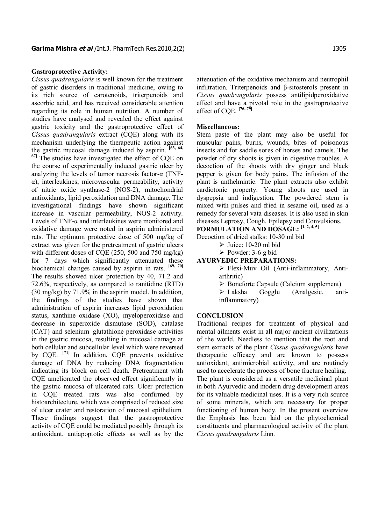#### **Gastroprotective Activity:**

*Cissus quadrangularis* is well known for the treatment of gastric disorders in traditional medicine, owing to its rich source of carotenoids, triterpenoids and ascorbic acid, and has received considerable attention regarding its role in human nutrition. A number of studies have analysed and revealed the effect against gastric toxicity and the gastroprotective effect of *Cissus quadrangularis* extract (CQE) along with its mechanism underlying the therapeutic action against the gastric mucosal damage induced by aspirin. **[63, 64, 67]** The studies have investigated the effect of CQE on the course of experimentally induced gastric ulcer by analyzing the levels of tumor necrosis factor-α (TNFα), interleukines, microvascular permeability, activity of nitric oxide synthase-2 (NOS-2), mitochondrial antioxidants, lipid peroxidation and DNA damage. The investigational findings have shown significant increase in vascular permeability, NOS-2 activity. Levels of TNF- $\alpha$  and interleukines were monitored and oxidative damage were noted in aspirin administered rats. The optimum protective dose of 500 mg/kg of extract was given for the pretreatment of gastric ulcers with different doses of CQE (250, 500 and 750 mg/kg) for 7 days which significantly attenuated these biochemical changes caused by aspirin in rats. **[69, 70]** The results showed ulcer protection by 40, 71.2 and 72.6%, respectively, as compared to ranitidine (RTD) (30 mg/kg) by 71.9% in the aspirin model. In addition, the findings of the studies have shown that administration of aspirin increases lipid peroxidation status, xanthine oxidase (XO), myeloperoxidase and decrease in superoxide dismutase (SOD), catalase (CAT) and selenium–glutathione peroxidase activities in the gastric mucosa, resulting in mucosal damage at both cellular and subcellular level which were reversed by CQE. **[71]** In addition, CQE prevents oxidative damage of DNA by reducing DNA fragmentation indicating its block on cell death. Pretreatment with CQE ameliorated the observed effect significantly in the gastric mucosa of ulcerated rats. Ulcer protection in CQE treated rats was also confirmed by histoarchitecture, which was comprised of reduced size of ulcer crater and restoration of mucosal epithelium. These findings suggest that the gastroprotective activity of CQE could be mediated possibly through its antioxidant, antiapoptotic effects as well as by the

attenuation of the oxidative mechanism and neutrophil infiltration. Triterpenoids and β-sitosterols present in *Cissus quadrangularis* possess antilipidperoxidative effect and have a pivotal role in the gastroprotective effect of CQE. **[76, 79]**

#### **Miscellaneous:**

Stem paste of the plant may also be useful for muscular pains, burns, wounds, bites of poisonous insects and for saddle sores of horses and camels. The powder of dry shoots is given in digestive troubles. A decoction of the shoots with dry ginger and black pepper is given for body pains. The infusion of the plant is anthelmintic. The plant extracts also exhibit cardiotonic property. Young shoots are used in dyspepsia and indigestion. The powdered stem is mixed with pulses and fried in sesame oil, used as a remedy for several vata diseases. It is also used in skin diseases Leprosy, Cough, Epilepsy and Convulsions.

# **FORMULATION AND DOSAGE: [1, 2, 4, 5]**

Decoction of dried stalks: 10-30 ml bid

- $\triangleright$  Juice: 10-20 ml bid
- $\triangleright$  Powder: 3-6 g bid

#### **AYURVEDIC PREPARATIONS:**

 $\triangleright$  Flexi-Muv Oil (Anti-inflammatory, Antiarthritic)

- $\triangleright$  Boneforte Capsule (Calcium supplement)
- $\triangleright$  Laksha Gogglu (Analgesic, antiinflammatory)

#### **CONCLUSION**

Traditional recipes for treatment of physical and mental ailments exist in all major ancient civilizations of the world. Needless to mention that the root and stem extracts of the plant *Cissus quadrangularis* have therapeutic efficacy and are known to possess antioxidant, antimicrobial activity, and are routinely used to accelerate the process of bone fracture healing. The plant is considered as a versatile medicinal plant in both Ayurvedic and modern drug development areas for its valuable medicinal uses. It is a very rich source of some minerals, which are necessary for proper functioning of human body. In the present overview the Emphasis has been laid on the phytochemical constituents and pharmacological activity of the plant *Cissus quadrangularis* Linn.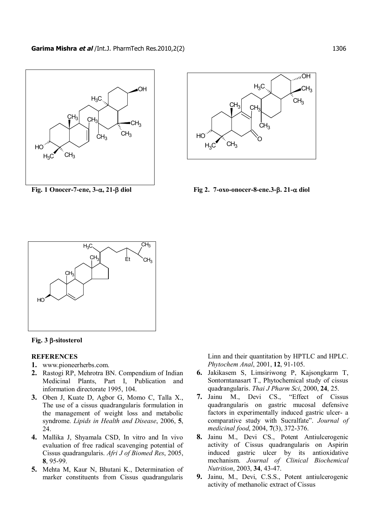



**Fig. 1 Onocer-7-ene, 3-**a**, 21-**b **diol Fig 2. 7-oxo-onocer-8-ene.3-**b**. 21-**a **diol**





#### **REFERENCES**

- **1.** www.pioneerherbs.com.
- **2.** Rastogi RP, Mehrotra BN. Compendium of Indian Medicinal Plants, Part I, Publication and information directorate 1995, 104.
- **3.** Oben J, Kuate D, Agbor G, Momo C, Talla X., The use of a cissus quadrangularis formulation in the management of weight loss and metabolic syndrome. *Lipids in Health and Disease*, 2006, **5**, 24.
- **4.** Mallika J, Shyamala CSD, In vitro and In vivo evaluation of free radical scavenging potential of Cissus quadrangularis. *Afri J of Biomed Res*, 2005, **8**, 95-99.
- **5.** Mehta M, Kaur N, Bhutani K., Determination of marker constituents from Cissus quadrangularis

Linn and their quantitation by HPTLC and HPLC. *Phytochem Anal*, 2001, **12**, 91-105.

- **6.** Jakikasem S, Limsiriwong P, Kajsongkarm T, Sontorntanasart T., Phytochemical study of cissus quadrangularis. *Thai J Pharm Sci*, 2000, **24**, 25.
- **7.** Jainu M., Devi CS., "Effect of Cissus quadrangularis on gastric mucosal defensive factors in experimentally induced gastric ulcer- a comparative study with Sucralfate". *Journal of medicinal food*, 2004, **7**(3), 372-376.
- **8.** Jainu M., Devi CS., Potent Antiulcerogenic activity of Cissus quadrangularis on Aspirin induced gastric ulcer by its antioxidative mechanism. *Journal of Clinical Biochemical Nutrition*, 2003, **34**, 43-47.
- **9.** Jainu, M., Devi, C.S.S., Potent antiulcerogenic activity of methanolic extract of Cissus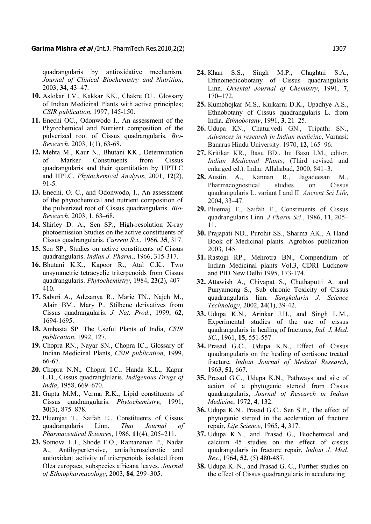quadrangularis by antioxidative mechanism. *Journal of Clinical Biochemistry and Nutrition*, 2003, **34**, 43–47.

- **10.** Aslokar LV., Kakkar KK., Chakre OJ., Glossary of Indian Medicinal Plants with active principles; *CSIR publication*, 1997, 145-150.
- **11.** Enechi OC., Odonwodo I., An assessment of the Phytochemical and Nutrient composition of the pulverized root of Cissus quadrangularis. *Bio-Research*, 2003, **1**(1), 63-68.
- **12.** Mehta M., Kaur N., Bhutani KK., Determination of Marker Constituents from Cissus quadrangularis and their quantitation by HPTLC and HPLC. *Phytochemical Analysis*, 2001, **12**(2), 91-5.
- **13.** Enechi, O. C., and Odonwodo, I., An assessment of the phytochemical and nutrient composition of the pulverized root of Cissus quadrangularis. *Bio-Research*, 2003, **1**, 63–68.
- **14.** Shirley D. A., Sen SP., High-resolution X-ray photoemission Studies on the active constituents of Cissus quadrangularis. *Current Sci.*, 1966, **35**, 317.
- **15.** Sen SP., Studies on active constituents of Cissus quadrangularis. *Indian J. Pharm*., 1966, 315-317.
- **16.** Bhutani K.K., Kapoor R., Atal C.K., Two unsymmetric tetracyclic triterpenoids from Cissus quadrangularis. *Phytochemistry*, 1984, **23**(2), 407– 410.
- **17.** Saburi A., Adesanya R., Marie TN., Najeh M., Alain BM., Mary P., Stilbene derivatives from Cissus quadrangularis. *J. Nat. Prod*., 1999, **62**, 1694-1695.
- **18.** Ambasta SP. The Useful Plants of India, *CSIR publication*, 1992, 127.
- **19.** Chopra RN., Nayar SN., Chopra IC., Glossary of Indian Medicinal Plants, *CSIR publication*, 1999, 66-67.
- **20.** Chopra N.N., Chopra I.C., Handa K.L., Kapur L.D., Cissus quadranglularis. *Indigenous Drugs of India*, 1958, 669–670.
- **21.** Gupta M.M., Verma R.K., Lipid constituents of Cissus quadrangularis. *Phytochemistry*, 1991, **30**(3), 875–878.
- **22.** Pluemjai T., Saifah E., Constituents of Cissus quadrangularis Linn. *Thai Journal of Pharmaceutical Sciences*, 1986, **11**(4), 205–211.
- **23.** Somova L.I., Shode F.O., Ramananan P., Nadar A., Antihypertensive, antiatherosclerotic and antioxidant activity of triterpenoids isolated from Olea europaea, subspecies africana leaves. *Journal of Ethnopharmacology*, 2003, **84**, 299–305.
- **24.** Khan S.S., Singh M.P., Chaghtai S.A., Ethnomedicobotany of Cissus quadrangularis Linn. *Oriental Journal of Chemistry*, 1991, **7**, 170–172.
- **25.** Kumbhojkar M.S., Kulkarni D.K., Upadhye A.S., Ethnobotany of Cissus quadrangularis L. from India. *Ethnobotany*, 1991, **3**, 21–25.
- **26.** Udupa KN., Chaturvedi GN., Tripathi SN., *Advances in research in Indian medicine*, Varnasi: Banaras Hindu University. 1970, **12**, 165–96.
- **27.** Kritikar KR., Basu BD., In: Basu LM., editor. *Indian Medicinal Plants*, (Third revised and enlarged ed.). India: Allahabad, 2000, 841–3.
- **28.** Austin A., Kannan R., Jagadeesan M., Pharmacognostical studies on Cissus quadrangularis L. variant I and II. *Ancient Sci Life*, 2004, 33–47.
- **29.** Pluemaj T., Saifah E., Constituents of Cissus quadrangularis Linn. *J Pharm Sci*., 1986, **11**, 205– 11.
- **30.** Prajapati ND., Purohit SS., Sharma AK., A Hand Book of Medicinal plants. Agrobios publication 2003, 145.
- **31.** Rastogi RP., Mehrotra BN., Compendium of Indian Medicinal plants Vol.3, CDRI Lucknow and PID New Delhi 1995, 173-174.
- **32.** Attawish A., Chivapat S., Chuthaputti A. and Punyamong S., Sub chronic Toxicity of Cissus quadrangularis linn. *Sangkalarin J. Science Technology*, 2002, **24**(1), 39-42.
- **33.** Udupa K.N., Arinkar J.H., and Singh L.M., Experimental studies of the use of cissus quadrangularis in healing of fractures, *Ind. J. Med. SC.*, 1961, **15**, 551-557.
- **34.** Prasad G.C., Udupa K.N., Effect of Cissus quadrangularis on the healing of cortisone treated fracture, *Indian Journal of Medical Research*, 1963, **51**, 667.
- **35.** Prasad G.C., Udupa K.N., Pathways and site of action of a phytogenic steroid from Cissus quadrangularis, *Journal of Research in Indian Medicine*, 1972, **4**, 132.
- **36.** Udupa K.N., Prasad G.C., Sen S.P., The effect of phytogenic steroid in the accleration of fracture repair, *Life Science*, 1965, **4**, 317.
- **37.** Udupa K.N., and Prasad G., Biochemical and calcium 45 studies on the effect of cissus quadrangularis in fracture repair, *lndian J. Med. Res.*, 1964, **52**, (5) 480-487.
- **38.** Udupa K. N., and Prasad G. C., Further studies on the effect of Cissus quadrangularis in accelerating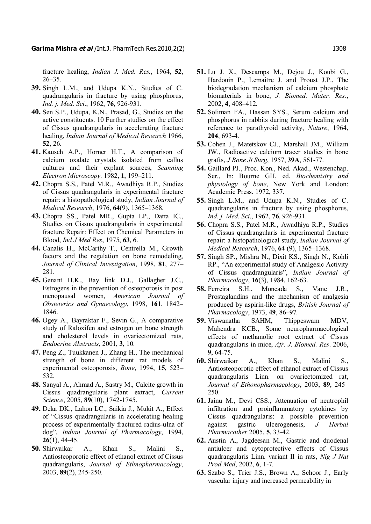fracture healing, *Indian J. Med. Res.*, 1964, **52**, 26–35.

- **39.** Singh L.M., and Udupa K.N., Studies of C. quadrangularis in fracture by using phosphorus, *Ind. j. Med. Sci*., 1962, **76**, 926-931.
- **40.** Sen S.P., Udupa, K.N., Prasad, G., Studies on the active constituents. 10 Further studies on the effect of Cissus quadrangularis in accelerating fracture healing, *Indian Journal of Medical Research* 1966, **52**, 26.
- **41.** Kausch A.P., Horner H.T., A comparison of calcium oxalate crystals isolated from callus cultures and their explant sources, *Scanning Electron Microscopy*. 1982, **1**, 199–211.
- **42.** Chopra S.S., Patel M.R., Awadhiya R.P., Studies of Cissus quadrangularis in experimental fracture repair: a histopathological study, *Indian Journal of Medical Research*, 1976, **64**(9), 1365–1368.
- **43.** Chopra SS., Patel MR., Gupta LP., Datta IC., Studies on Cissus quadrangularis in experimental fracture Repair: Effect on Chemical Parameters in Blood, *Ind J Med Res*, 1975, **63**, 6.
- **44.** Canalis H., McCarthy T., Centrella M., Growth factors and the regulation on bone remodeling, *Journal of Clinical Investigation*, 1998, **81**, 277– 281.
- **45.** Genant H.K., Bay link D.J., Gallagher J.C., Estrogens in the prevention of osteoporosis in post menopausal women, *American Journal of Obsteterics and Gynaecology*, 1998, **161**, 1842– 1846.
- **46.** Ogey A., Bayraktar F., Sevin G., A comparative study of Raloxifen and estrogen on bone strength and cholesterol levels in ovariectomized rats, *Endocrine Abstracts*, 2001, **3**, 10.
- **47.** Peng Z., Tuukkanen J., Zhang H., The mechanical strength of bone in different rat models of experimental osteoporosis, *Bone*, 1994, **15**, 523– 532.
- **48.** Sanyal A., Ahmad A., Sastry M., Calcite growth in Cissus quadrangularis plant extract, *Current Science*, 2005, **89**(10), 1742-1745.
- **49.** Deka DK., Lahon LC., Saikia J., Mukit A., Effect of "Cissus quadrangularis in accelerating healing process of experimentally fractured radius-ulna of dog", *Indian Journal of Pharmacology*, 1994, **26**(1), 44-45.
- **50.** Shirwaikar A., Khan S., Malini S., Antiosteoporotic effect of ethanol extract of Cissus quadrangularis, *Journal of Ethnopharmacology*, 2003, **89**(2), 245-250.
- **51.** Lu J. X., Descamps M., Dejou J., Koubi G., Hardouin P., Lemaitre J. and Proust J.P., The biodegradation mechanism of calcium phosphate biomaterials in bone, *J. Biomed. Mater. Res.*, 2002, **4**, 408–412.
- **52.** Soliman FA., Hassan SYS., Serum calcium and phosphorus in rabbits during fracture healing with reference to parathyroid activity, *Nature*, 1964, **204**, 693-4.
- **53.** Cohen J., Matetskov CJ., Marshall JM., William JW., Radioactive calcium tracer studies in bone grafts, *J Bone Jt Surg*, 1957, **39A**, 561-77.
- **54.** Gaillard PJ., Proc. Kon., Ned. Akad., Westenchap. Ser., In: Bourne GH, ed. *Biochemistry and physiology of bone*, New York and London: Academic Press. 1972, 337.
- **55.** Singh L.M., and Udupa K.N., Studies of C. quadrangularis in fracture by using phosphorus, *Ind. j. Med. Sci*., 1962, **76**, 926-931.
- **56.** Chopra S.S., Patel M.R., Awadhiya R.P., Studies of Cissus quadrangularis in experimental fracture repair: a histopathological study, *Indian Journal of Medical Research*, 1976, **64** (9), 1365–1368.
- **57.** Singh SP., Mishra N., Dixit KS., Singh N., Kohli RP., "An experimental study of Analgesic Activity of Cissus quadrangularis", *Indian Journal of Pharmacology*, **16**(3), 1984, 162-63.
- **58.** Ferreira S.H., Moncada S., Vane J.R., Prostaglandins and the mechanism of analgesia produced by aspirin-like drugs, *British Journal of Pharmacology*, 1973, **49**, 86–97.
- **59.** Viswanatha SAHM, Thippeswam MDV, Mahendra KCB., Some neuropharmacological effects of methanolic root extract of Cissus quadrangularis in mice, *Afr. J. Biomed. Res*. 2006, **9**, 64-75.
- **60.** Shirwaikar A., Khan S., Malini S., Antiosteoporotic effect of ethanol extract of Cissus quadrangularis Linn. on ovariectomized rat, *Journal of Ethonopharmacology*, 2003, **89**, 245– 250.
- **61.** Jainu M., Devi CSS., Attenuation of neutrophil infiltration and proinflammatory cytokines by Cissus quadrangularis: a possible prevention against gastric ulcerogenesis, *J Herbal Pharmacother* 2005, **5**, 33-42.
- **62.** Austin A., Jagdeesan M., Gastric and duodenal antiulcer and cytoprotective effects of Cissus quadrangularis Linn. variant II in rats, *Nig J Nat Prod Med*, 2002, **6**, 1-7.
- **63.** Szabo S., Trier J.S., Brown A., Schoor J., Early vascular injury and increased permeability in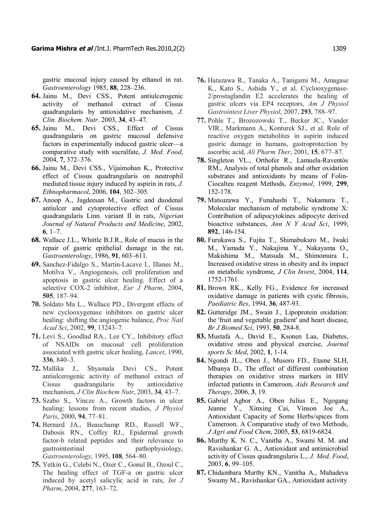gastric mucosal injury caused by ethanol in rat. *Gastroenterology* 1985, **88**, 228–236.

- **64.** Jainu M., Devi CSS., Potent antiulcerogenic activity of methanol extract of Cissus quadrangularis by antioxidative mechanism, *J. Clin. Biochem. Nutr*. 2003, **34**, 43–47.
- **65.** Jainu M., Devi CSS., Effect of Cissus quadrangularis on gastric mucosal defensive factors in experimentally induced gastric ulcer—a comparative study with sucralfate, *J. Med. Food*, 2004, **7**, 372–376.
- **66.** Jainu M., Devi CSS., Vijaimohan K., Protective effect of Cissus quadrangularis on neutrophil mediated tissue injury induced by aspirin in rats, *J. Ethnopharmacol*, 2006, **104**, 302–305.
- **67.** Anoop A., Jagdeesan M., Gastric and duodenal antiulcer and cytoprotective effect of Cissus quadrangularis Linn. variant II in rats, *Nigerian Journal of Natural Products and Medicine*, 2002, **6**, 1–7.
- **68.** Wallace J.L., Whittle B.J.R., Role of mucus in the repair of gastric epithelial damage in the rat, *Gastroenterology*, 1986, **91**, 603–611.
- **69.** Sanchez-Fidalgo S., Martin-Lacave I., Illanes M., Motilva V., Angiogenesis, cell proliferation and apoptosis in gastric ulcer healing. Effect of a selective COX-2 inhibitor, *Eur J Pharm*, 2004, **505**, 187–94.
- **70.** Soldato Ma L., Wallace PD., Divergent effects of new cyclooxygenase inhibitors on gastric ulcer healing: shifting the angiogenic balance, *Proc Natl Acad Sci*, 2002, **99**, 13243–7.
- **71.** Levi S., Goodlad RA., Lee CY., Inhibitory effect of NSAIDs on mucosal cell proliferation associated with gastric ulcer healing, *Lancet*, 1990, **336**, 840–3.
- **72.** Mallika J., Shyamala Devi CS., Potent antiulcerogenic activity of methanol extract of Cissus quadrangularis by antioxidative mechanism, *J Clin Biochem Nutr*, 2003, **34**, 43–7.
- **73.** Szabo S., Vincze A., Growth factors in ulcer healing: lessons from recent studies, *J Physiol Paris*, 2000, **94**, 77–81.
- **74.** Bernard JA., Beauchamp RD., Russell WF., Dabosis RN., Coffey RJ., Epidermal growth factor-b related peptides and their relevance to gastrointestinal pathophysiology, *Gastroenterology*, 1995, **108**, 564–80.
- **75.** Yetkin G., Celebi N., Ozer C., Gonul B., Ozoul C., The healing effect of TGF-a on gastric ulcer induced by acetyl salicylic acid in rats, *Int J Pharm*, 2004, **277**, 163–72.
- **76.** Hatazawa R., Tanaka A., Tanigami M., Amagase K., Kato S., Ashida Y., et al. Cyclooxygenase-2/prostaglandin E2 accelerates the healing of gastric ulcers via EP4 receptors, *Am J Physiol Gastrointest Liver Physiol*, 2007, **293**, 788–97.
- **77.** Pohle T., Brozozowski T., Becker JC., Vander VIR., Markmann A., Konturek SJ., et al. Role of reactive oxygen metabolites in aspirin induced gastric damage in humans, gastroprotection by ascorbic acid, *Ali Pharm Ther*, 2001, **15**, 677–87.
- **78.** Singleton VL., Orthofer R., Lamuela-Raventòs RM., Analysis of total phenols and other oxidation substrates and antioxidants by means of Folin-Ciocalteu reagent Methods, *Enzymol*, 1999, **299**, 152-178.
- **79.** Matsuzawa Y., Funahashi T., Nakamura T., Molecular mechanism of metabolic syndrome X: Contribution of adipocytokines adipocyte derived bioactive substances, *Ann N Y Acad Sci*, 1999, **892**, 146-154.
- **80.** Furukawa S., Fujita T., Shimabukuro M., Iwaki M., Yamada Y., Nakajima Y., Nakayama O., Makishima M., Matsuda M., Shimomura I., Increased oxidative stress in obesity and its impact on metabolic syndrome, *J Clin Invest*, 2004, **114**, 1752-1761.
- **81.** Brown RK., Kelly FG., Evidence for increased oxidative damage in patients with cystic fibrosis, *Paediatric Res*, 1994, **36**, 487-93.
- **82.** Gutteridge JM., Swain J., Lipoprotein oxidation: the 'fruit and vegetable gradient' and heart disease, *Br J Biomed Sci*, 1993, **50**, 284-8.
- **83.** Mustafa A., David E., Ksonen Laa, Diabetes, oxidative stress and physical exercise, *Journal sports Sc Med*, 2002, **1**, 1-14.
- **84.** Ngondi JL., Oben J., Musoro FD., Etame SLH, Mbanya D., The effect of different combination therapies on oxidative stress markers in HIV infected patients in Cameroon, *Aids Research and Therapy*, 2006, **3**, 19.
- **85.** Gabriel Agbor A., Oben Julius E., Ngogang Jeanne Y., Xinxing Cai, Vinson Joe A., Antioxidant Capacity of Some Herbs/spices from Cameroon. A Comparative study of two Methods, *J Agri and Food Chem*, 2005, **53**, 6819-6824.
- **86.** Murthy K. N. C., Vanitha A., Swami M. M. and Ravishankar G. A., Antioxidant and antimicrobial activity of Cissus quadrangularis L., *J. Med. Food*, 2003, **6**, 99–105.
- **87.** Chidambara Murthy KN., Vanitha A., Mahadeva Swamy M., Ravishankar GA., Antioxidant activity